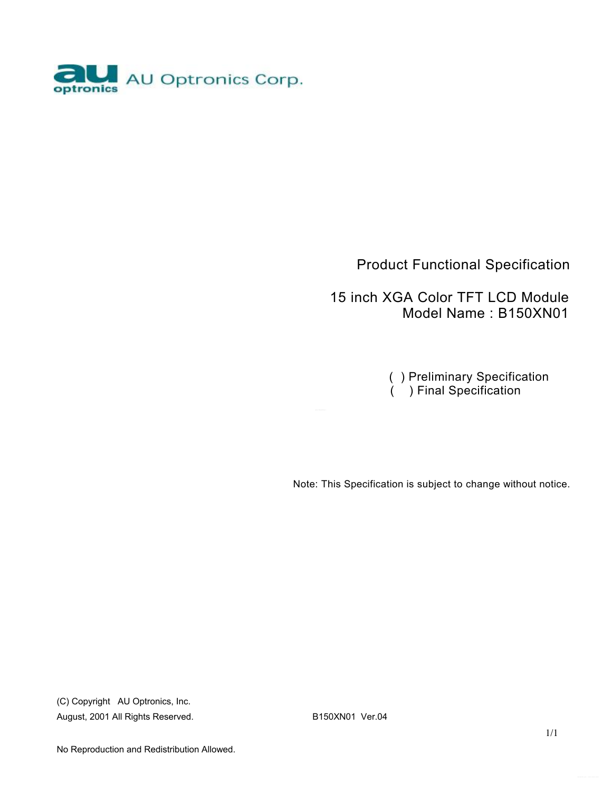

### Product Functional Specification

 15 inch XGA Color TFT LCD Module Model Name : B150XN01

> ( ) Preliminary Specification ( ) Final Specification

Note: This Specification is subject to change without notice.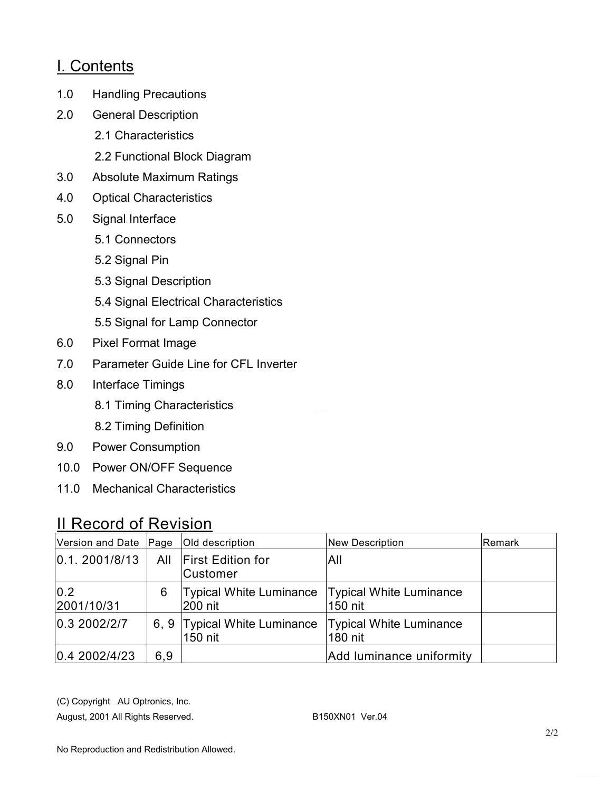### I. Contents

- 1.0 Handling Precautions
- 2.0 General Description
	- 2.1 Characteristics
	- 2.2 Functional Block Diagram
- 3.0 Absolute Maximum Ratings
- 4.0 Optical Characteristics
- 5.0 Signal Interface
	- 5.1 Connectors
	- 5.2 Signal Pin
	- 5.3 Signal Description
	- 5.4 Signal Electrical Characteristics
	- 5.5 Signal for Lamp Connector
- 6.0 Pixel Format Image
- 7.0 Parameter Guide Line for CFL Inverter
- 8.0 Interface Timings
	- 8.1 Timing Characteristics
	- 8.2 Timing Definition
- 9.0 Power Consumption
- 10.0 Power ON/OFF Sequence
- 11.0 Mechanical Characteristics

### II Record of Revision

| Version and Date Page |      | Old description                                              | <b>New Description</b>   | <b>IRemark</b> |
|-----------------------|------|--------------------------------------------------------------|--------------------------|----------------|
| 0.1.2001/8/13         | All  | <b>First Edition for</b><br>Customer                         | All                      |                |
| 0.2<br>2001/10/31     | 6    | Typical White Luminance   Typical White Luminance<br>200 nit | 150 nit                  |                |
| 0.3 2002/2/7          | 6, 9 | Typical White Luminance   Typical White Luminance<br>150 nit | 180 nit                  |                |
| 0.4 2002/4/23         | 6,9  |                                                              | Add luminance uniformity |                |

(C) Copyright AU Optronics, Inc.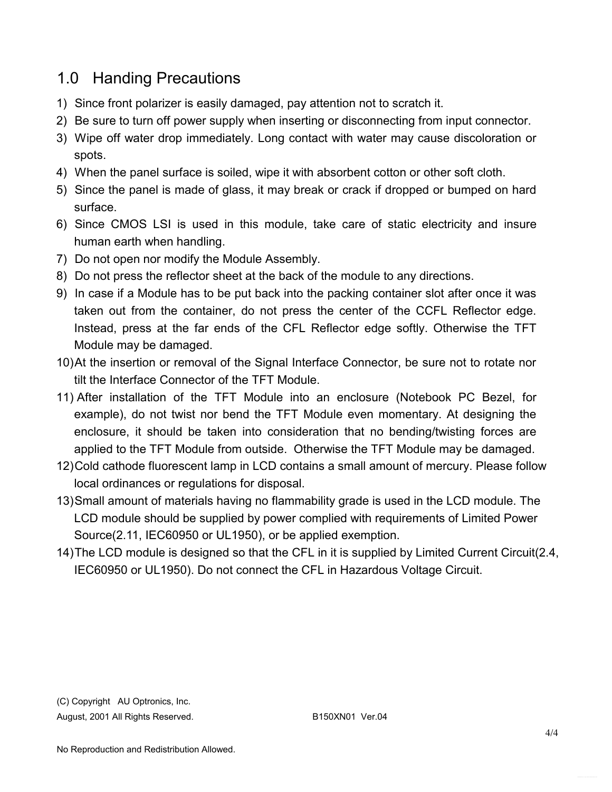## 1.0 Handing Precautions

- 1) Since front polarizer is easily damaged, pay attention not to scratch it.
- 2) Be sure to turn off power supply when inserting or disconnecting from input connector.
- 3) Wipe off water drop immediately. Long contact with water may cause discoloration or spots.
- 4) When the panel surface is soiled, wipe it with absorbent cotton or other soft cloth.
- 5) Since the panel is made of glass, it may break or crack if dropped or bumped on hard surface.
- 6) Since CMOS LSI is used in this module, take care of static electricity and insure human earth when handling.
- 7) Do not open nor modify the Module Assembly.
- 8) Do not press the reflector sheet at the back of the module to any directions.
- 9) In case if a Module has to be put back into the packing container slot after once it was taken out from the container, do not press the center of the CCFL Reflector edge. Instead, press at the far ends of the CFL Reflector edge softly. Otherwise the TFT Module may be damaged.
- 10)At the insertion or removal of the Signal Interface Connector, be sure not to rotate nor tilt the Interface Connector of the TFT Module.
- 11) After installation of the TFT Module into an enclosure (Notebook PC Bezel, for example), do not twist nor bend the TFT Module even momentary. At designing the enclosure, it should be taken into consideration that no bending/twisting forces are applied to the TFT Module from outside. Otherwise the TFT Module may be damaged.
- 12)Cold cathode fluorescent lamp in LCD contains a small amount of mercury. Please follow local ordinances or regulations for disposal.
- 13)Small amount of materials having no flammability grade is used in the LCD module. The LCD module should be supplied by power complied with requirements of Limited Power Source(2.11, IEC60950 or UL1950), or be applied exemption.
- 14)The LCD module is designed so that the CFL in it is supplied by Limited Current Circuit(2.4, IEC60950 or UL1950). Do not connect the CFL in Hazardous Voltage Circuit.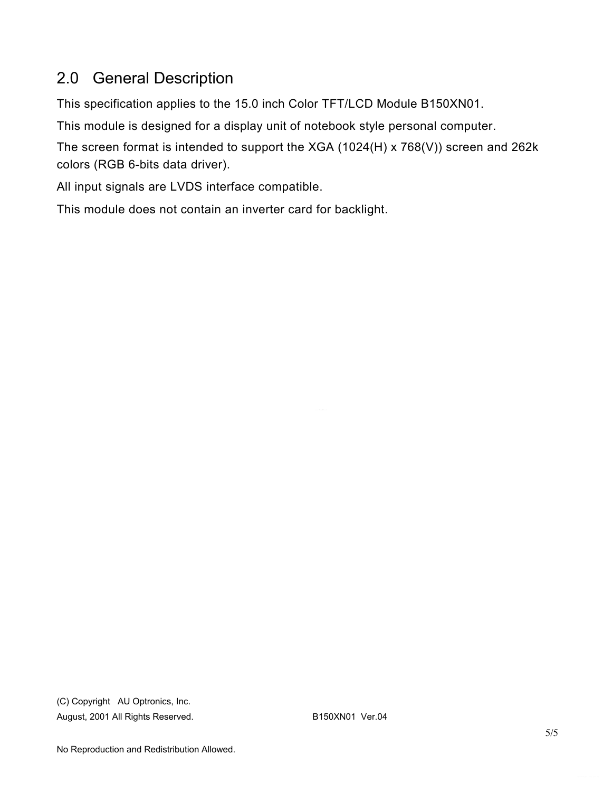# 2.0 General Description

This specification applies to the 15.0 inch Color TFT/LCD Module B150XN01.

This module is designed for a display unit of notebook style personal computer.

The screen format is intended to support the XGA (1024(H) x 768(V)) screen and 262k colors (RGB 6-bits data driver).

All input signals are LVDS interface compatible.

This module does not contain an inverter card for backlight.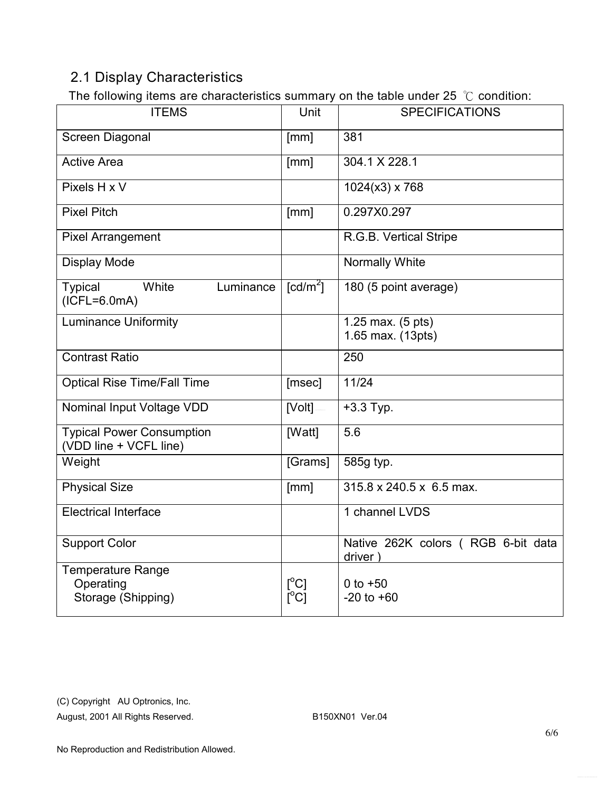### 2.1 Display Characteristics

The following items are characteristics summary on the table under 25 ℃ condition:

| . . <b>.</b><br><b>ITEMS</b>                               | Unit                                             | <b>SPECIFICATIONS</b>                         |
|------------------------------------------------------------|--------------------------------------------------|-----------------------------------------------|
| Screen Diagonal                                            | [mm]                                             | 381                                           |
| <b>Active Area</b>                                         | [mm]                                             | 304.1 X 228.1                                 |
| Pixels H x V                                               |                                                  | $1024(x3)$ x 768                              |
| <b>Pixel Pitch</b>                                         | [mm]                                             | 0.297X0.297                                   |
| <b>Pixel Arrangement</b>                                   |                                                  | R.G.B. Vertical Stripe                        |
| <b>Display Mode</b>                                        |                                                  | Normally White                                |
| <b>Typical</b><br>White<br>Luminance<br>$(ICFL=6.0mA)$     | $[cd/m^2]$                                       | 180 (5 point average)                         |
| <b>Luminance Uniformity</b>                                |                                                  | 1.25 max. (5 pts)<br>1.65 max. (13pts)        |
| <b>Contrast Ratio</b>                                      |                                                  | 250                                           |
| <b>Optical Rise Time/Fall Time</b>                         | [msec]                                           | 11/24                                         |
| Nominal Input Voltage VDD                                  | [Volt]                                           | $+3.3$ Typ.                                   |
| <b>Typical Power Consumption</b><br>(VDD line + VCFL line) | [Watt]                                           | 5.6                                           |
| Weight                                                     | [Grams]                                          | 585g typ.                                     |
| <b>Physical Size</b>                                       | [mm]                                             | 315.8 x 240.5 x 6.5 max.                      |
| <b>Electrical Interface</b>                                |                                                  | 1 channel LVDS                                |
| <b>Support Color</b>                                       |                                                  | Native 262K colors (RGB 6-bit data<br>driver) |
| Temperature Range<br>Operating<br>Storage (Shipping)       | $\lceil{^{\circ}C}\rceil$<br>$\Gamma^{\circ}$ Cl | 0 to $+50$<br>$-20$ to $+60$                  |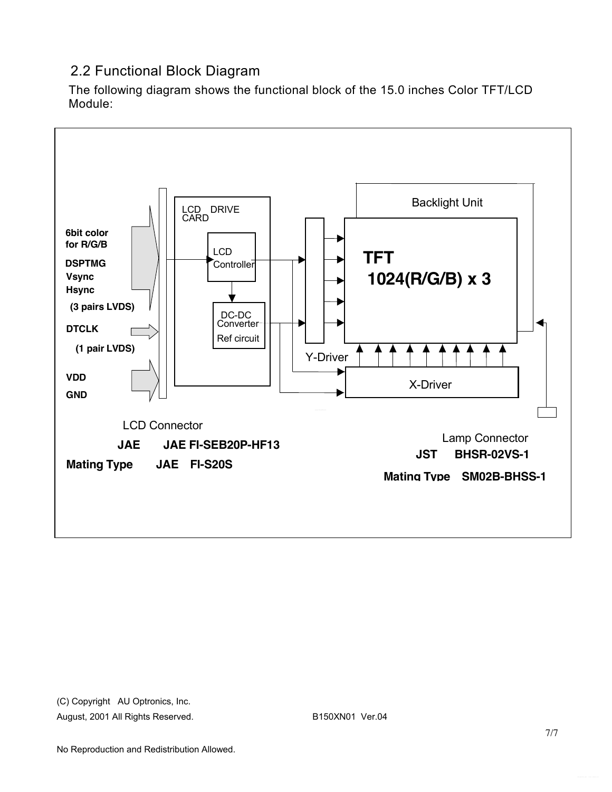### 2.2 Functional Block Diagram

The following diagram shows the functional block of the 15.0 inches Color TFT/LCD Module:

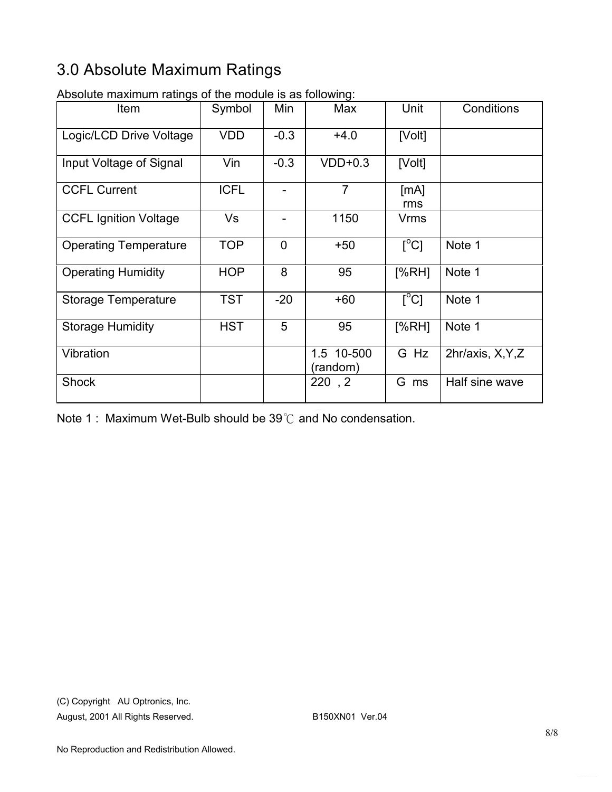# 3.0 Absolute Maximum Ratings

| wooldto maximum rutingo or tho modulo io do rollowing.<br>Item | Symbol      | Min            | Max                    | Unit                      | Conditions        |
|----------------------------------------------------------------|-------------|----------------|------------------------|---------------------------|-------------------|
| Logic/LCD Drive Voltage                                        | <b>VDD</b>  | $-0.3$         | $+4.0$                 | [Volt]                    |                   |
| Input Voltage of Signal                                        | Vin         | $-0.3$         | $VDD+0.3$              | [Volt]                    |                   |
| <b>CCFL Current</b>                                            | <b>ICFL</b> | $\overline{a}$ | $\overline{7}$         | [mA]<br>rms               |                   |
| <b>CCFL Ignition Voltage</b>                                   | Vs          |                | 1150                   | Vrms                      |                   |
| <b>Operating Temperature</b>                                   | <b>TOP</b>  | $\overline{0}$ | $+50$                  | $\lceil{^{\circ}C}\rceil$ | Note 1            |
| <b>Operating Humidity</b>                                      | <b>HOP</b>  | 8              | 95                     | [%RH]                     | Note 1            |
| <b>Storage Temperature</b>                                     | <b>TST</b>  | $-20$          | $+60$                  | $\overline{C}$            | Note 1            |
| <b>Storage Humidity</b>                                        | <b>HST</b>  | 5              | 95                     | [%RH]                     | Note 1            |
| Vibration                                                      |             |                | 1.5 10-500<br>(random) | G Hz                      | 2hr/axis, X, Y, Z |
| <b>Shock</b>                                                   |             |                | 220, 2                 | G ms                      | Half sine wave    |

Absolute maximum ratings of the module is as following:

Note 1 : Maximum Wet-Bulb should be 39℃ and No condensation.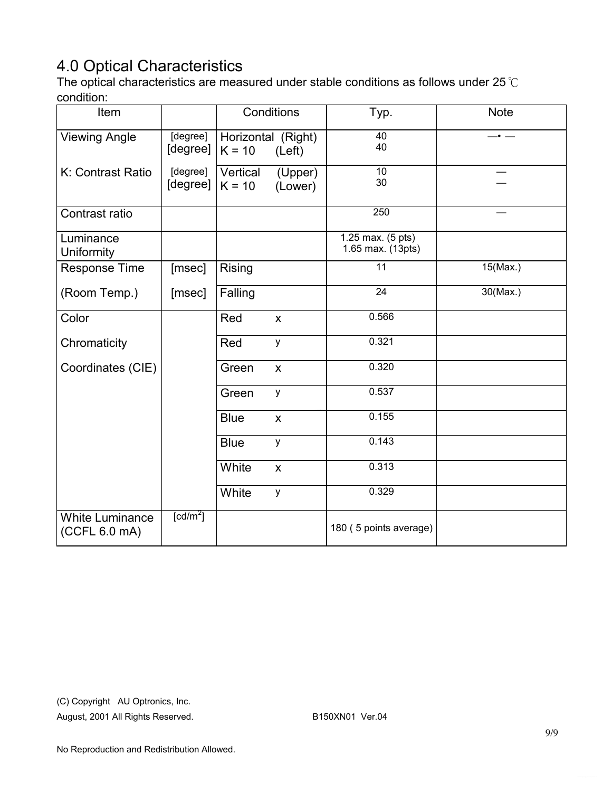# 4.0 Optical Characteristics

The optical characteristics are measured under stable conditions as follows under 25℃ condition:

| Item                                    |                        |                      | Conditions                   | Typ.                                   | <b>Note</b> |
|-----------------------------------------|------------------------|----------------------|------------------------------|----------------------------------------|-------------|
| <b>Viewing Angle</b>                    | [degree]<br>[degree]   | $K = 10$             | Horizontal (Right)<br>(Left) | 40<br>40                               |             |
| K: Contrast Ratio                       | [degree]<br>[degree]   | Vertical<br>$K = 10$ | (Upper)<br>(Lower)           | $\overline{10}$<br>30                  |             |
| Contrast ratio                          |                        |                      |                              | 250                                    |             |
| Luminance<br>Uniformity                 |                        |                      |                              | 1.25 max. (5 pts)<br>1.65 max. (13pts) |             |
| Response Time                           | [msec]                 | Rising               |                              | $\overline{11}$                        | $15$ (Max.) |
| (Room Temp.)                            | [msec]                 | Falling              |                              | $\overline{24}$                        | $30$ (Max.) |
| Color                                   |                        | Red                  | $\boldsymbol{\mathsf{X}}$    | 0.566                                  |             |
| Chromaticity                            |                        | Red                  | y                            | 0.321                                  |             |
| Coordinates (CIE)                       |                        | Green                | $\boldsymbol{\mathsf{X}}$    | 0.320                                  |             |
|                                         |                        | Green                | y                            | 0.537                                  |             |
|                                         |                        | <b>Blue</b>          | $\pmb{\mathsf{X}}$           | 0.155                                  |             |
|                                         |                        | <b>Blue</b>          | у                            | 0.143                                  |             |
|                                         |                        | White                | $\boldsymbol{\mathsf{X}}$    | 0.313                                  |             |
|                                         |                        | White                | y                            | 0.329                                  |             |
| <b>White Luminance</b><br>(CCFL 6.0 mA) | $\lceil cd/m^2 \rceil$ |                      |                              | 180 (5 points average)                 |             |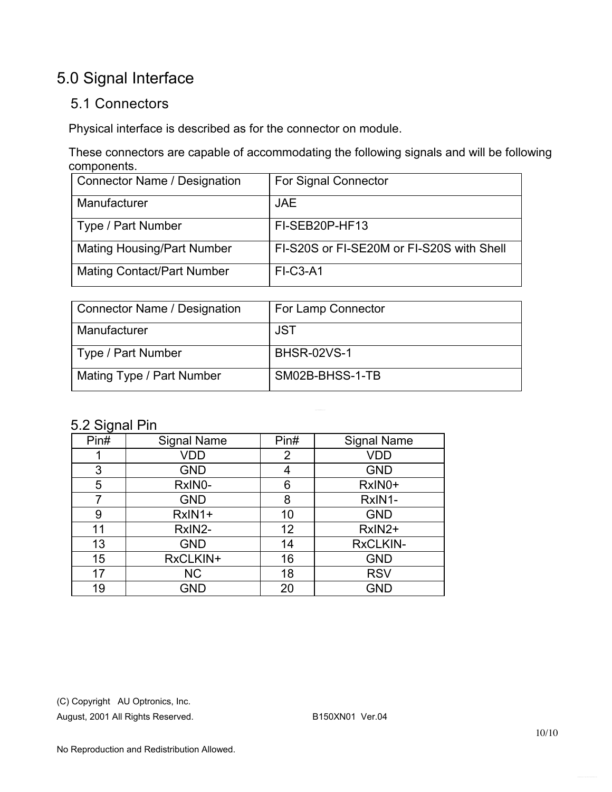# 5.0 Signal Interface

#### 5.1 Connectors

Physical interface is described as for the connector on module.

These connectors are capable of accommodating the following signals and will be following components.

| <b>Connector Name / Designation</b> | <b>For Signal Connector</b>               |
|-------------------------------------|-------------------------------------------|
| Manufacturer                        | <b>JAE</b>                                |
| Type / Part Number                  | FI-SEB20P-HF13                            |
| <b>Mating Housing/Part Number</b>   | FI-S20S or FI-SE20M or FI-S20S with Shell |
| <b>Mating Contact/Part Number</b>   | <b>FI-C3-A1</b>                           |

| Connector Name / Designation | For Lamp Connector |
|------------------------------|--------------------|
| Manufacturer                 | <b>JST</b>         |
| Type / Part Number           | <b>BHSR-02VS-1</b> |
| Mating Type / Part Number    | SM02B-BHSS-1-TB    |

#### 5.2 Signal Pin

| ັ    |                    |      |                    |
|------|--------------------|------|--------------------|
| Pin# | <b>Signal Name</b> | Pin# | <b>Signal Name</b> |
|      | <b>VDD</b>         | 2    | <b>VDD</b>         |
| 3    | <b>GND</b>         | 4    | <b>GND</b>         |
| 5    | RxIN0-             | 6    | RxIN0+             |
| 7    | <b>GND</b>         | 8    | RxIN1-             |
| 9    | $RxIN1+$           | 10   | <b>GND</b>         |
| 11   | RxIN2-             | 12   | RxIN2+             |
| 13   | <b>GND</b>         | 14   | <b>RxCLKIN-</b>    |
| 15   | RxCLKIN+           | 16   | <b>GND</b>         |
| 17   | <b>NC</b>          | 18   | <b>RSV</b>         |
| 19   | <b>GND</b>         | 20   | <b>GND</b>         |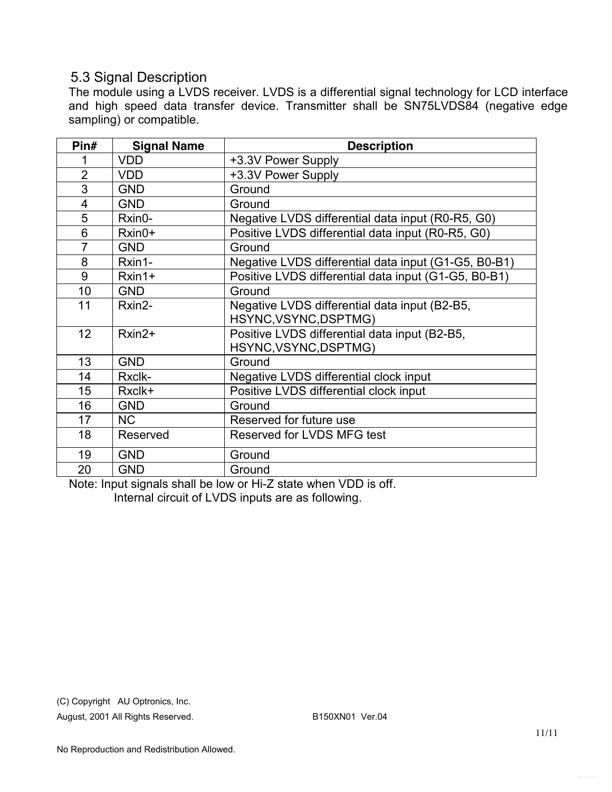#### 5.3 Signal Description

The module using a LVDS receiver. LVDS is a differential signal technology for LCD interface and high speed data transfer device. Transmitter shall be SN75LVDS84 (negative edge sampling) or compatible.

| Pin#            | <b>Signal Name</b> | <b>Description</b>                                   |
|-----------------|--------------------|------------------------------------------------------|
| 1               | <b>VDD</b>         | +3.3V Power Supply                                   |
| $\overline{2}$  | <b>VDD</b>         | +3.3V Power Supply                                   |
| 3               | <b>GND</b>         | Ground                                               |
| 4               | <b>GND</b>         | Ground                                               |
| 5               | Rxin0-             | Negative LVDS differential data input (R0-R5, G0)    |
| 6               | Rxin0+             | Positive LVDS differential data input (R0-R5, G0)    |
| $\overline{7}$  | <b>GND</b>         | Ground                                               |
| 8               | Rxin1-             | Negative LVDS differential data input (G1-G5, B0-B1) |
| 9               | $Rxin1+$           | Positive LVDS differential data input (G1-G5, B0-B1) |
| 10              | <b>GND</b>         | Ground                                               |
| 11              | Rxin2-             | Negative LVDS differential data input (B2-B5,        |
|                 |                    | HSYNC, VSYNC, DSPTMG)                                |
| 12 <sup>2</sup> | Rxin2+             | Positive LVDS differential data input (B2-B5,        |
|                 |                    | HSYNC, VSYNC, DSPTMG)                                |
| 13              | <b>GND</b>         | Ground                                               |
| 14              | Rxclk-             | Negative LVDS differential clock input               |
| 15              | Rxclk+             | Positive LVDS differential clock input               |
| 16              | <b>GND</b>         | Ground                                               |
| 17              | <b>NC</b>          | Reserved for future use                              |
| 18              | Reserved           | Reserved for LVDS MFG test                           |
| 19              | <b>GND</b>         | Ground                                               |
| 20              | <b>GND</b>         | Ground                                               |

Note: Input signals shall be low or Hi-Z state when VDD is off. Internal circuit of LVDS inputs are as following.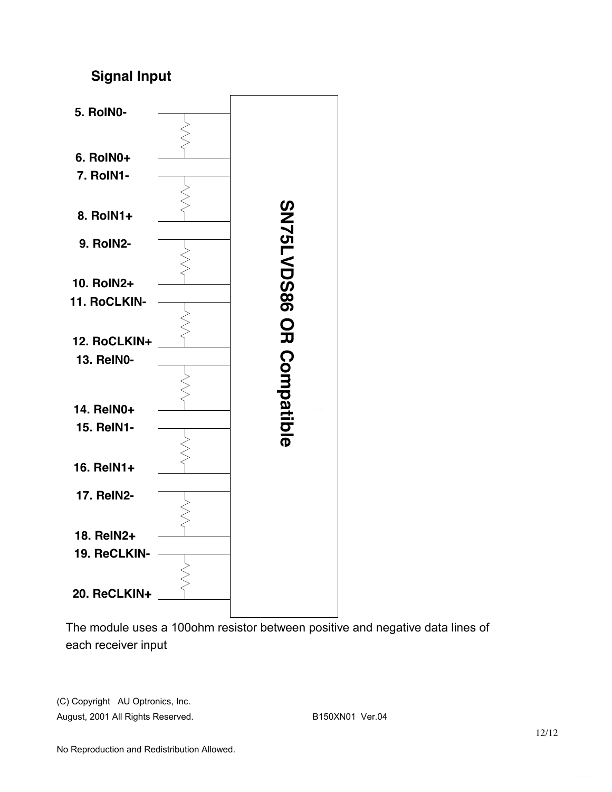### **Signal Input**



The module uses a 100ohm resistor between positive and negative data lines of each receiver input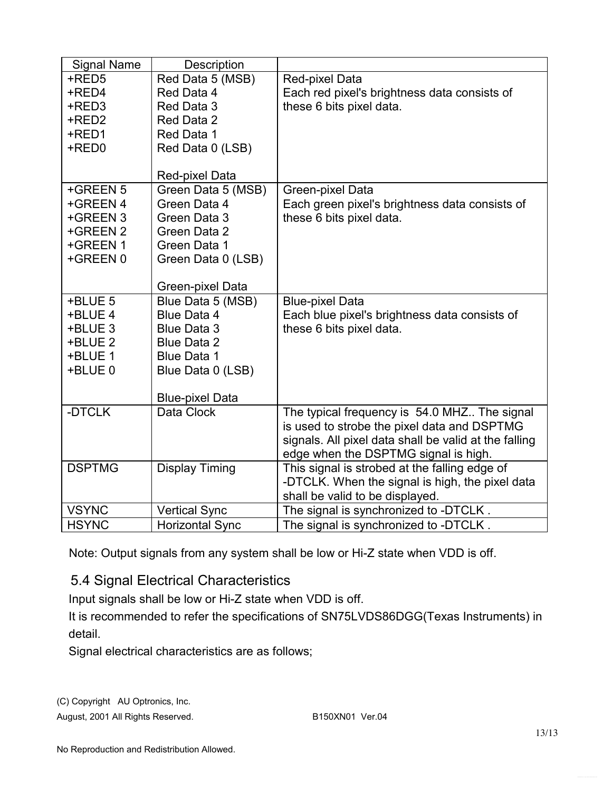| <b>Signal Name</b>   | Description                              |                                                                                             |
|----------------------|------------------------------------------|---------------------------------------------------------------------------------------------|
| +RED5<br>+RED4       | Red Data 5 (MSB)<br>Red Data 4           | Red-pixel Data<br>Each red pixel's brightness data consists of                              |
| +RED3<br>+RED2       | Red Data 3<br>Red Data 2                 | these 6 bits pixel data.                                                                    |
| +RED1                | Red Data 1                               |                                                                                             |
| +RED0                | Red Data 0 (LSB)                         |                                                                                             |
|                      | Red-pixel Data                           |                                                                                             |
| +GREEN 5             | Green Data 5 (MSB)                       | Green-pixel Data                                                                            |
| +GREEN 4             | Green Data 4                             | Each green pixel's brightness data consists of                                              |
| +GREEN 3<br>+GREEN 2 | Green Data 3<br>Green Data 2             | these 6 bits pixel data.                                                                    |
| +GREEN 1             | Green Data 1                             |                                                                                             |
| +GREEN 0             | Green Data 0 (LSB)                       |                                                                                             |
|                      |                                          |                                                                                             |
|                      | Green-pixel Data                         |                                                                                             |
| +BLUE 5              | Blue Data 5 (MSB)                        | <b>Blue-pixel Data</b>                                                                      |
| +BLUE 4<br>+BLUE 3   | <b>Blue Data 4</b><br><b>Blue Data 3</b> | Each blue pixel's brightness data consists of<br>these 6 bits pixel data.                   |
| +BLUE 2              | <b>Blue Data 2</b>                       |                                                                                             |
| +BLUE 1              | <b>Blue Data 1</b>                       |                                                                                             |
| +BLUE 0              | Blue Data 0 (LSB)                        |                                                                                             |
|                      |                                          |                                                                                             |
|                      | <b>Blue-pixel Data</b>                   |                                                                                             |
| -DTCLK               | Data Clock                               | The typical frequency is 54.0 MHZ The signal<br>is used to strobe the pixel data and DSPTMG |
|                      |                                          | signals. All pixel data shall be valid at the falling                                       |
|                      |                                          | edge when the DSPTMG signal is high.                                                        |
| <b>DSPTMG</b>        | <b>Display Timing</b>                    | This signal is strobed at the falling edge of                                               |
|                      |                                          | -DTCLK. When the signal is high, the pixel data<br>shall be valid to be displayed.          |
| <b>VSYNC</b>         | <b>Vertical Sync</b>                     | The signal is synchronized to -DTCLK.                                                       |
| <b>HSYNC</b>         | <b>Horizontal Sync</b>                   | The signal is synchronized to -DTCLK.                                                       |

Note: Output signals from any system shall be low or Hi-Z state when VDD is off.

### 5.4 Signal Electrical Characteristics

Input signals shall be low or Hi-Z state when VDD is off.

It is recommended to refer the specifications of SN75LVDS86DGG(Texas Instruments) in detail.

Signal electrical characteristics are as follows;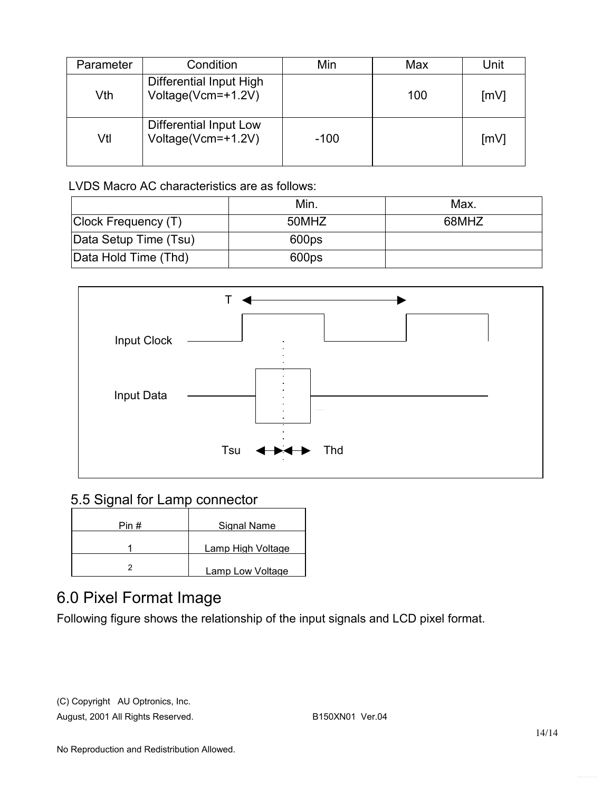| Parameter | Condition                                     | Min    | Max | Unit |
|-----------|-----------------------------------------------|--------|-----|------|
| Vth       | Differential Input High<br>Voltage(Vcm=+1.2V) |        | 100 | [mV] |
| Vtl       | Differential Input Low<br>Voltage(Vcm=+1.2V)  | $-100$ |     | [mV] |

LVDS Macro AC characteristics are as follows:

|                       | Min.  | Max.  |
|-----------------------|-------|-------|
| Clock Frequency (T)   | 50MHZ | 68MHZ |
| Data Setup Time (Tsu) | 600ps |       |
| Data Hold Time (Thd)  | 600ps |       |



### 5.5 Signal for Lamp connector

| Pin # | Signal Name       |
|-------|-------------------|
|       | Lamp High Voltage |
|       | Lamp Low Voltage  |

# 6.0 Pixel Format Image

Following figure shows the relationship of the input signals and LCD pixel format.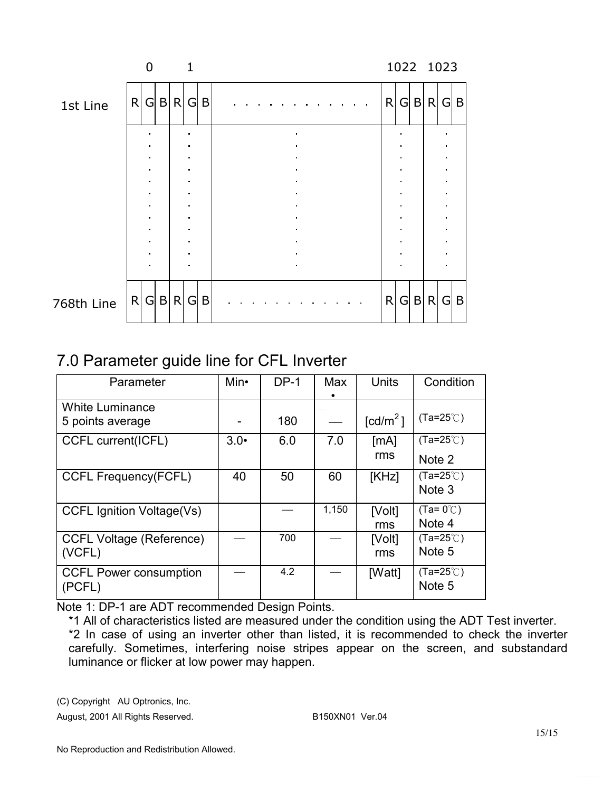|            |   | $\Omega$ |           |   | 1      |   |              |   |   |       | 1022 1023 |   |
|------------|---|----------|-----------|---|--------|---|--------------|---|---|-------|-----------|---|
| 1st Line   | R |          | G B R G B |   |        |   | R            |   |   | G B R | GIB       |   |
|            |   |          |           |   |        |   |              |   |   |       |           |   |
|            |   |          |           |   |        |   |              |   |   |       |           |   |
|            |   |          |           |   |        |   |              |   |   |       |           |   |
|            |   | ٠        |           |   |        |   |              |   |   |       |           |   |
|            |   |          |           |   |        |   |              |   |   |       |           |   |
|            |   | ٠        |           |   | ٠<br>٠ |   |              | ٠ |   |       |           |   |
|            |   |          |           |   |        |   |              |   |   |       |           |   |
|            |   |          |           |   |        |   |              |   |   |       |           |   |
|            |   |          |           |   |        |   |              |   |   |       |           |   |
| 768th Line |   |          | R G B     | R | G      | B | $\mathsf{R}$ | G | B | R     | G         | B |

# 7.0 Parameter guide line for CFL Inverter

| Parameter                                  | Min• | $DP-1$ | Max   | <b>Units</b>                     | Condition                    |
|--------------------------------------------|------|--------|-------|----------------------------------|------------------------------|
| <b>White Luminance</b><br>5 points average |      | 180    |       | $\text{\rm [cd/m}^2\text{\rm ]}$ | $(Ta=25^{\circ}C)$           |
| CCFL current(ICFL)                         | 3.0  | 6.0    | 7.0   | [mA]<br>rms                      | $(Ta=25^{\circ}C)$<br>Note 2 |
| <b>CCFL Frequency(FCFL)</b>                | 40   | 50     | 60    | [KHz]                            | $(Ta=25^{\circ}C)$<br>Note 3 |
| <b>CCFL Ignition Voltage(Vs)</b>           |      |        | 1,150 | [Volt]<br>rms                    | $(Ta=0^{\circ}C)$<br>Note 4  |
| <b>CCFL Voltage (Reference)</b><br>(VCFL)  |      | 700    |       | [Volt]<br>rms                    | $(Ta=25^{\circ}C)$<br>Note 5 |
| <b>CCFL Power consumption</b><br>(PCFL)    |      | 4.2    |       | [Watt]                           | $(Ta=25^{\circ}C)$<br>Note 5 |

Note 1: DP-1 are ADT recommended Design Points.

\*1 All of characteristics listed are measured under the condition using the ADT Test inverter. \*2 In case of using an inverter other than listed, it is recommended to check the inverter carefully. Sometimes, interfering noise stripes appear on the screen, and substandard luminance or flicker at low power may happen.

(C) Copyright AU Optronics, Inc.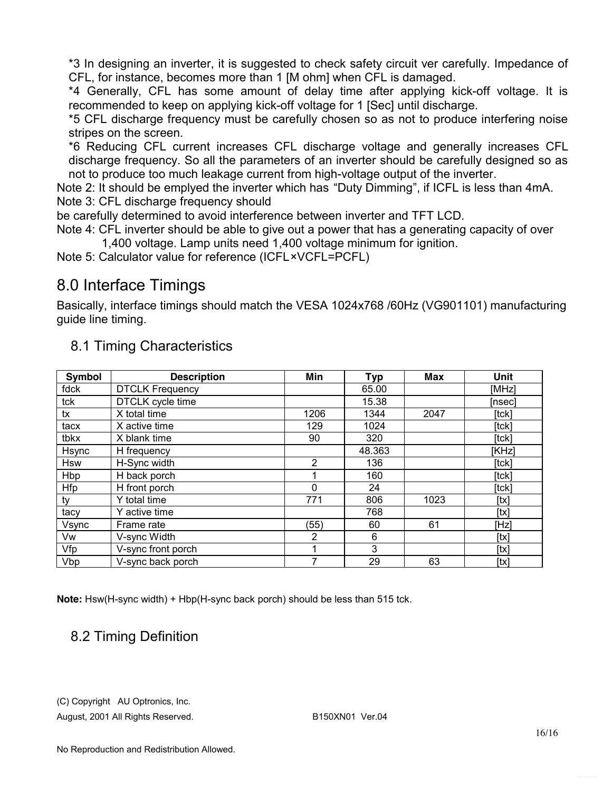\*3 In designing an inverter, it is suggested to check safety circuit ver carefully. Impedance of CFL, for instance, becomes more than 1 [M ohm] when CFL is damaged.

\*4 Generally, CFL has some amount of delay time after applying kick-off voltage. It is recommended to keep on applying kick-off voltage for 1 [Sec] until discharge.

\*5 CFL discharge frequency must be carefully chosen so as not to produce interfering noise stripes on the screen.

\*6 Reducing CFL current increases CFL discharge voltage and generally increases CFL discharge frequency. So all the parameters of an inverter should be carefully designed so as not to produce too much leakage current from high-voltage output of the inverter.

Note 2: It should be emplyed the inverter which has "Duty Dimming", if ICFL is less than 4mA. Note 3: CFL discharge frequency should

be carefully determined to avoid interference between inverter and TFT LCD.

Note 4: CFL inverter should be able to give out a power that has a generating capacity of over 1,400 voltage. Lamp units need 1,400 voltage minimum for ignition.

Note 5: Calculator value for reference (ICFL×VCFL=PCFL)

# 8.0 Interface Timings

Basically, interface timings should match the VESA 1024x768 /60Hz (VG901101) manufacturing guide line timing.

| Symbol     | <b>Description</b>     | Min      | <b>Typ</b> | <b>Max</b> | Unit        |
|------------|------------------------|----------|------------|------------|-------------|
| fdck       | <b>DTCLK Frequency</b> |          | 65.00      |            | [MHz]       |
| tck        | DTCLK cycle time       |          | 15.38      |            | [nsec]      |
| tx         | X total time           | 1206     | 1344       | 2047       | $[$ tck $]$ |
| tacx       | X active time          | 129      | 1024       |            | [tck]       |
| tbkx       | X blank time           | 90       | 320        |            | $[$ tck $]$ |
| Hsync      | H frequency            |          | 48.363     |            | [KHz]       |
| <b>Hsw</b> | H-Sync width           | 2        | 136        |            | $[$ tck $]$ |
| Hbp        | $H$ back porch         |          | 160        |            | $[$ tck $]$ |
| Hfp        | H front porch          | $\Omega$ | 24         |            | [tck]       |
| ty         | Y total time           | 771      | 806        | 1023       | [tx]        |
| tacy       | Y active time          |          | 768        |            | [tx]        |
| Vsync      | Frame rate             | (55)     | 60         | 61         | [Hz]        |
| Vw         | V-sync Width           | 2        | 6          |            | [tx]        |
| Vfp        | V-sync front porch     |          | 3          |            | [tx]        |
| Vbp        | V-sync back porch      | 7        | 29         | 63         | [tx]        |

### 8.1 Timing Characteristics

**Note:** Hsw(H-sync width) + Hbp(H-sync back porch) should be less than 515 tck.

### 8.2 Timing Definition

(C) Copyright AU Optronics, Inc.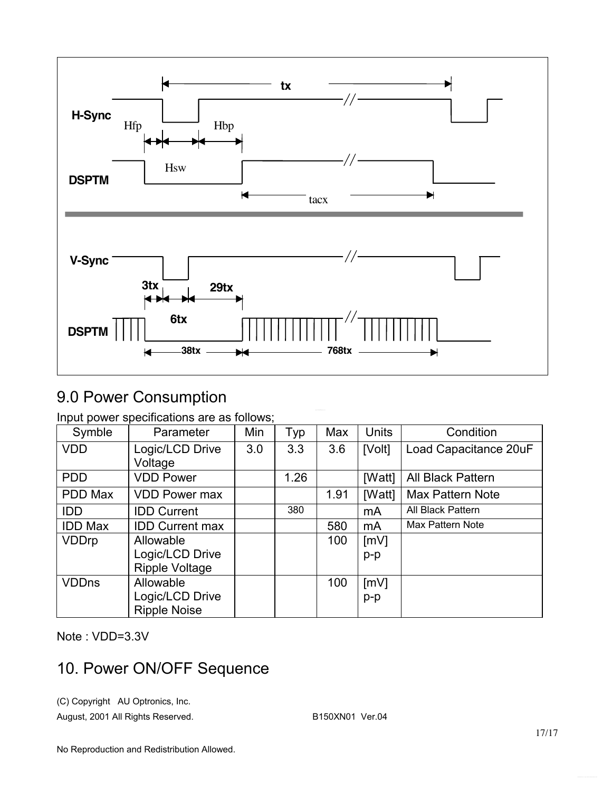

# 9.0 Power Consumption

Input power specifications are as follows;

| Symble         | Parameter              | Min | Typ  | Max  | <b>Units</b> | Condition               |
|----------------|------------------------|-----|------|------|--------------|-------------------------|
| <b>VDD</b>     | Logic/LCD Drive        | 3.0 | 3.3  | 3.6  | [Volt]       | Load Capacitance 20uF   |
|                | Voltage                |     |      |      |              |                         |
| <b>PDD</b>     | <b>VDD Power</b>       |     | 1.26 |      | [Watt]       | All Black Pattern       |
| PDD Max        | <b>VDD Power max</b>   |     |      | 1.91 | [Watt]       | <b>Max Pattern Note</b> |
| <b>IDD</b>     | <b>IDD Current</b>     |     | 380  |      | mA           | All Black Pattern       |
| <b>IDD Max</b> | <b>IDD Current max</b> |     |      | 580  | mA           | <b>Max Pattern Note</b> |
| <b>VDDrp</b>   | Allowable              |     |      | 100  | [mV]         |                         |
|                | Logic/LCD Drive        |     |      |      | $p-p$        |                         |
|                | Ripple Voltage         |     |      |      |              |                         |
| <b>VDDns</b>   | Allowable              |     |      | 100  | [mV]         |                         |
|                | Logic/LCD Drive        |     |      |      | $p-p$        |                         |
|                | <b>Ripple Noise</b>    |     |      |      |              |                         |

Note : VDD=3.3V

# 10. Power ON/OFF Sequence

(C) Copyright AU Optronics, Inc.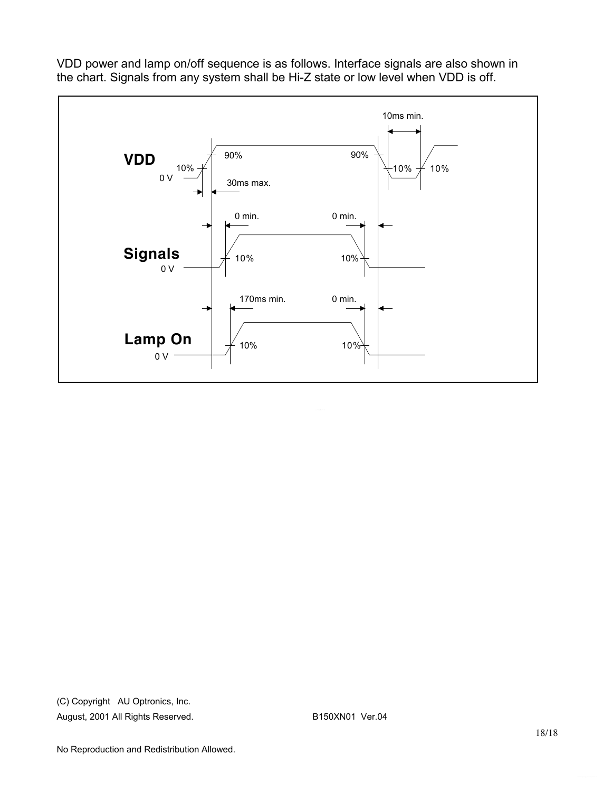

VDD power and lamp on/off sequence is as follows. Interface signals are also shown in the chart. Signals from any system shall be Hi-Z state or low level when VDD is off.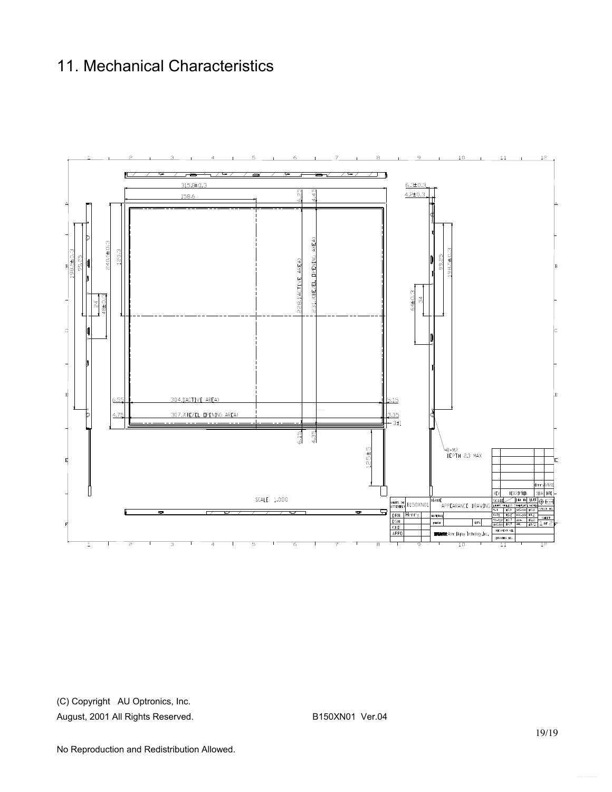## 11. Mechanical Characteristics